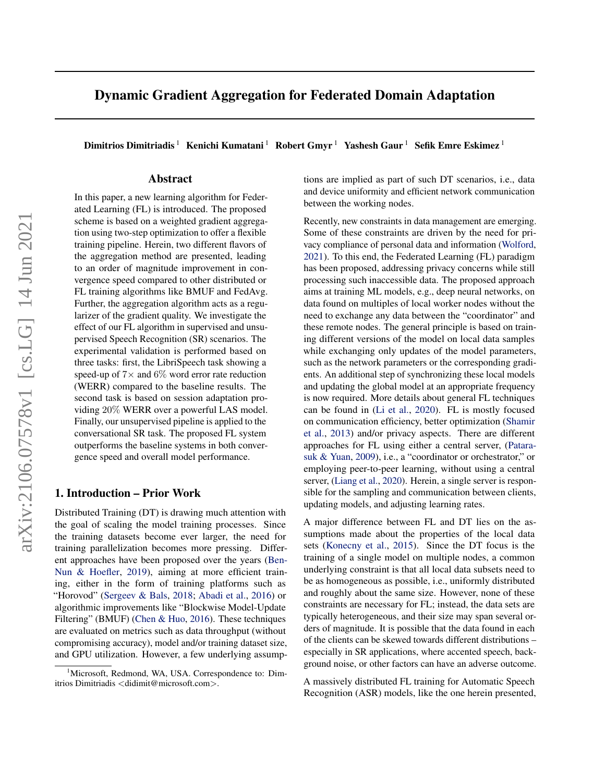# Dynamic Gradient Aggregation for Federated Domain Adaptation

Dimitrios Dimitriadis <sup>1</sup> Kenichi Kumatani <sup>1</sup> Robert Gmyr <sup>1</sup> Yashesh Gaur <sup>1</sup> Sefik Emre Eskimez <sup>1</sup>

## Abstract

In this paper, a new learning algorithm for Federated Learning (FL) is introduced. The proposed scheme is based on a weighted gradient aggregation using two-step optimization to offer a flexible training pipeline. Herein, two different flavors of the aggregation method are presented, leading to an order of magnitude improvement in convergence speed compared to other distributed or FL training algorithms like BMUF and FedAvg. Further, the aggregation algorithm acts as a regularizer of the gradient quality. We investigate the effect of our FL algorithm in supervised and unsupervised Speech Recognition (SR) scenarios. The experimental validation is performed based on three tasks: first, the LibriSpeech task showing a speed-up of  $7\times$  and  $6\%$  word error rate reduction (WERR) compared to the baseline results. The second task is based on session adaptation providing 20% WERR over a powerful LAS model. Finally, our unsupervised pipeline is applied to the conversational SR task. The proposed FL system outperforms the baseline systems in both convergence speed and overall model performance.

#### 1. Introduction – Prior Work

Distributed Training (DT) is drawing much attention with the goal of scaling the model training processes. Since the training datasets become ever larger, the need for training parallelization becomes more pressing. Different approaches have been proposed over the years [\(Ben-](#page-6-0)[Nun & Hoefler,](#page-6-0) [2019\)](#page-6-0), aiming at more efficient training, either in the form of training platforms such as "Horovod" [\(Sergeev & Bals,](#page-7-0) [2018;](#page-7-0) [Abadi et al.,](#page-6-0) [2016\)](#page-6-0) or algorithmic improvements like "Blockwise Model-Update Filtering" (BMUF) [\(Chen & Huo,](#page-6-0) [2016\)](#page-6-0). These techniques are evaluated on metrics such as data throughput (without compromising accuracy), model and/or training dataset size, and GPU utilization. However, a few underlying assumptions are implied as part of such DT scenarios, i.e., data and device uniformity and efficient network communication between the working nodes.

Recently, new constraints in data management are emerging. Some of these constraints are driven by the need for privacy compliance of personal data and information [\(Wolford,](#page-7-0) [2021\)](#page-7-0). To this end, the Federated Learning (FL) paradigm has been proposed, addressing privacy concerns while still processing such inaccessible data. The proposed approach aims at training ML models, e.g., deep neural networks, on data found on multiples of local worker nodes without the need to exchange any data between the "coordinator" and these remote nodes. The general principle is based on training different versions of the model on local data samples while exchanging only updates of the model parameters, such as the network parameters or the corresponding gradients. An additional step of synchronizing these local models and updating the global model at an appropriate frequency is now required. More details about general FL techniques can be found in [\(Li et al.,](#page-6-0) [2020\)](#page-6-0). FL is mostly focused on communication efficiency, better optimization [\(Shamir](#page-7-0) [et al.,](#page-7-0) [2013\)](#page-7-0) and/or privacy aspects. There are different approaches for FL using either a central server, [\(Patara](#page-7-0)[suk & Yuan,](#page-7-0) [2009\)](#page-7-0), i.e., a "coordinator or orchestrator," or employing peer-to-peer learning, without using a central server, [\(Liang et al.,](#page-6-0) [2020\)](#page-6-0). Herein, a single server is responsible for the sampling and communication between clients, updating models, and adjusting learning rates.

A major difference between FL and DT lies on the assumptions made about the properties of the local data sets [\(Konecny et al.,](#page-6-0) [2015\)](#page-6-0). Since the DT focus is the training of a single model on multiple nodes, a common underlying constraint is that all local data subsets need to be as homogeneous as possible, i.e., uniformly distributed and roughly about the same size. However, none of these constraints are necessary for FL; instead, the data sets are typically heterogeneous, and their size may span several orders of magnitude. It is possible that the data found in each of the clients can be skewed towards different distributions – especially in SR applications, where accented speech, background noise, or other factors can have an adverse outcome.

A massively distributed FL training for Automatic Speech Recognition (ASR) models, like the one herein presented,

<sup>1</sup>Microsoft, Redmond, WA, USA. Correspondence to: Dimitrios Dimitriadis <didimit@microsoft.com>.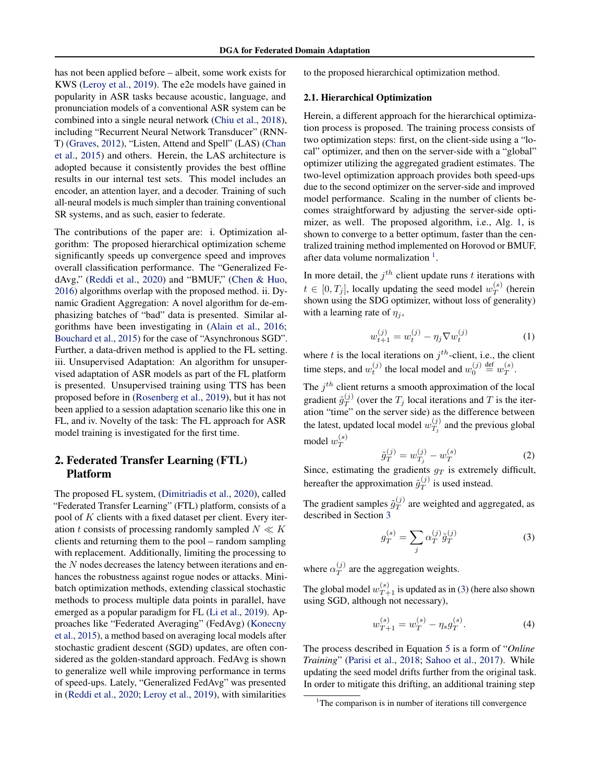<span id="page-1-0"></span>has not been applied before – albeit, some work exists for KWS [\(Leroy et al.,](#page-6-0) [2019\)](#page-6-0). The e2e models have gained in popularity in ASR tasks because acoustic, language, and pronunciation models of a conventional ASR system can be combined into a single neural network [\(Chiu et al.,](#page-6-0) [2018\)](#page-6-0), including "Recurrent Neural Network Transducer" (RNN-T) [\(Graves,](#page-6-0) [2012\)](#page-6-0), "Listen, Attend and Spell" (LAS) [\(Chan](#page-6-0) [et al.,](#page-6-0) [2015\)](#page-6-0) and others. Herein, the LAS architecture is adopted because it consistently provides the best offline results in our internal test sets. This model includes an encoder, an attention layer, and a decoder. Training of such all-neural models is much simpler than training conventional SR systems, and as such, easier to federate.

The contributions of the paper are: i. Optimization algorithm: The proposed hierarchical optimization scheme significantly speeds up convergence speed and improves overall classification performance. The "Generalized FedAvg," [\(Reddi et al.,](#page-7-0) [2020\)](#page-7-0) and "BMUF," [\(Chen & Huo,](#page-6-0) [2016\)](#page-6-0) algorithms overlap with the proposed method. ii. Dynamic Gradient Aggregation: A novel algorithm for de-emphasizing batches of "bad" data is presented. Similar algorithms have been investigating in [\(Alain et al.,](#page-6-0) [2016;](#page-6-0) [Bouchard et al.,](#page-6-0) [2015\)](#page-6-0) for the case of "Asynchronous SGD". Further, a data-driven method is applied to the FL setting. iii. Unsupervised Adaptation: An algorithm for unsupervised adaptation of ASR models as part of the FL platform is presented. Unsupervised training using TTS has been proposed before in [\(Rosenberg et al.,](#page-7-0) [2019\)](#page-7-0), but it has not been applied to a session adaptation scenario like this one in FL, and iv. Novelty of the task: The FL approach for ASR model training is investigated for the first time.

# 2. Federated Transfer Learning (FTL) Platform

The proposed FL system, [\(Dimitriadis et al.,](#page-6-0) [2020\)](#page-6-0), called "Federated Transfer Learning" (FTL) platform, consists of a pool of K clients with a fixed dataset per client. Every iteration t consists of processing randomly sampled  $N \ll K$ clients and returning them to the pool – random sampling with replacement. Additionally, limiting the processing to the  $N$  nodes decreases the latency between iterations and enhances the robustness against rogue nodes or attacks. Minibatch optimization methods, extending classical stochastic methods to process multiple data points in parallel, have emerged as a popular paradigm for FL [\(Li et al.,](#page-6-0) [2019\)](#page-6-0). Approaches like "Federated Averaging" (FedAvg) [\(Konecny](#page-6-0) [et al.,](#page-6-0) [2015\)](#page-6-0), a method based on averaging local models after stochastic gradient descent (SGD) updates, are often considered as the golden-standard approach. FedAvg is shown to generalize well while improving performance in terms of speed-ups. Lately, "Generalized FedAvg" was presented in [\(Reddi et al.,](#page-7-0) [2020;](#page-7-0) [Leroy et al.,](#page-6-0) [2019\)](#page-6-0), with similarities

to the proposed hierarchical optimization method.

#### 2.1. Hierarchical Optimization

Herein, a different approach for the hierarchical optimization process is proposed. The training process consists of two optimization steps: first, on the client-side using a "local" optimizer, and then on the server-side with a "global" optimizer utilizing the aggregated gradient estimates. The two-level optimization approach provides both speed-ups due to the second optimizer on the server-side and improved model performance. Scaling in the number of clients becomes straightforward by adjusting the server-side optimizer, as well. The proposed algorithm, i.e., Alg. [1,](#page-2-0) is shown to converge to a better optimum, faster than the centralized training method implemented on Horovod or BMUF, after data volume normalization  $<sup>1</sup>$ .</sup>

In more detail, the  $j<sup>th</sup>$  client update runs t iterations with  $t \in [0, T_j]$ , locally updating the seed model  $w_T^{(s)}$  $T^{(s)}$  (herein shown using the SDG optimizer, without loss of generality) with a learning rate of  $\eta_i$ ,

$$
w_{t+1}^{(j)} = w_t^{(j)} - \eta_j \nabla w_t^{(j)}
$$
 (1)

where t is the local iterations on  $j<sup>th</sup>$ -client, i.e., the client time steps, and  $w_t^{(j)}$  the local model and  $w_0^{(j)} \stackrel{\text{def}}{=} w_T^{(s)}$  $T^{(s)}$ .

The  $j<sup>th</sup>$  client returns a smooth approximation of the local gradient  $\tilde{g}_T^{(j)}$  $T(T)$  (over the  $T_j$  local iterations and T is the iteration "time" on the server side) as the difference between the latest, updated local model  $w_T^{(j)}$  $T_j^{(J)}$  and the previous global model  $w_T^{(s)}$ T

$$
\tilde{g}_T^{(j)} = w_{T_j}^{(j)} - w_T^{(s)} \tag{2}
$$

Since, estimating the gradients  $g_T$  is extremely difficult, hereafter the approximation  $\tilde{g}_T^{(j)}$  $T^{(J)}$  is used instead.

The gradient samples  $\tilde{g}_T^{(j)}$  $T^{(J)}$  are weighted and aggregated, as described in Section [3](#page-2-0)

$$
g_T^{(s)} = \sum_j \alpha_T^{(j)} \tilde{g}_T^{(j)} \tag{3}
$$

where  $\alpha_T^{(j)}$  $T^{(J)}$  are the aggregation weights.

The global model  $w_{T+1}^{(s)}$  is updated as in (3) (here also shown using SGD, although not necessary),

$$
w_{T+1}^{(s)} = w_T^{(s)} - \eta_s g_T^{(s)}.
$$
\n(4)

The process described in Equation [5](#page-2-0) is a form of "*Online Training*" [\(Parisi et al.,](#page-6-0) [2018;](#page-6-0) [Sahoo et al.,](#page-7-0) [2017\)](#page-7-0). While updating the seed model drifts further from the original task. In order to mitigate this drifting, an additional training step

 $1$ <sup>1</sup>The comparison is in number of iterations till convergence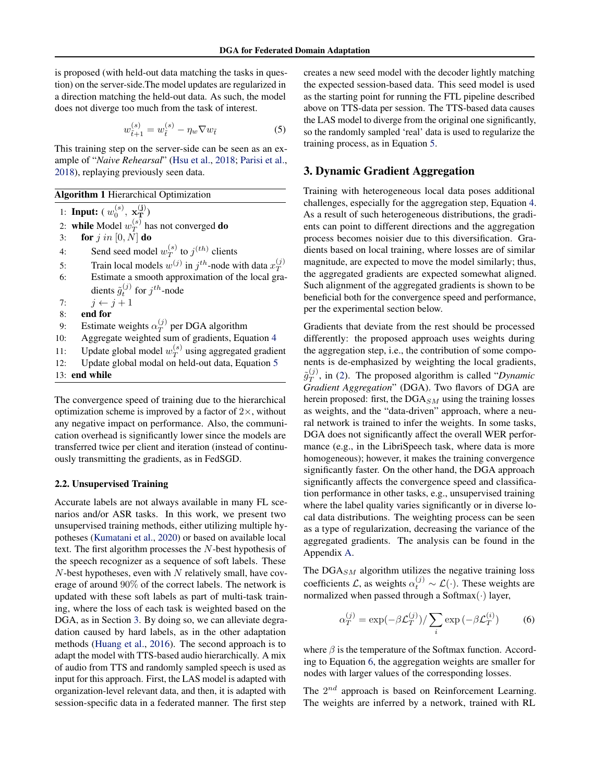<span id="page-2-0"></span>is proposed (with held-out data matching the tasks in question) on the server-side.The model updates are regularized in a direction matching the held-out data. As such, the model does not diverge too much from the task of interest.

$$
w_{\tilde{t}+1}^{(s)} = w_{\tilde{t}}^{(s)} - \eta_w \nabla w_{\tilde{t}}
$$
 (5)

This training step on the server-side can be seen as an example of "*Naive Rehearsal*" [\(Hsu et al.,](#page-6-0) [2018;](#page-6-0) [Parisi et al.,](#page-6-0) [2018\)](#page-6-0), replaying previously seen data.

Algorithm 1 Hierarchical Optimization

1: **Input:**  $(w_0^{(s)}, \mathbf{x_T^{(j)}})$ 

2: while Model  $w_T^{(s)}$  $T^{(s)}$  has not converged **do** 

3: for  $j$  in  $[0, N]$  do

4: Send seed model  $w_T^{(s)}$  $T^{(s)}$  to  $j^{(th)}$  clients

5: Train local models  $w^{(j)}$  in  $j^{th}$ -node with data  $x_T^{(j)}$  $\boldsymbol{\mathcal{I}}$ 6: Estimate a smooth approximation of the local gra-

dients  $\tilde{g}^{(j)}_t$  for  $j^{th}$ -node

7:  $j \leftarrow j + 1$ 

- 8: end for
- 9: Estimate weights  $\alpha_T^{(j)}$  $T$  per DGA algorithm
- 10: Aggregate weighted sum of gradients, Equation [4](#page-1-0)
- 11: Update global model  $w_T^{(s)}$  $T^{(s)}$  using aggregated gradient

12: Update global modal on held-out data, Equation 5 13: end while

The convergence speed of training due to the hierarchical optimization scheme is improved by a factor of  $2\times$ , without any negative impact on performance. Also, the communication overhead is significantly lower since the models are transferred twice per client and iteration (instead of continuously transmitting the gradients, as in FedSGD.

#### 2.2. Unsupervised Training

Accurate labels are not always available in many FL scenarios and/or ASR tasks. In this work, we present two unsupervised training methods, either utilizing multiple hypotheses [\(Kumatani et al.,](#page-6-0) [2020\)](#page-6-0) or based on available local text. The first algorithm processes the N-best hypothesis of the speech recognizer as a sequence of soft labels. These  $N$ -best hypotheses, even with  $N$  relatively small, have coverage of around 90% of the correct labels. The network is updated with these soft labels as part of multi-task training, where the loss of each task is weighted based on the DGA, as in Section 3. By doing so, we can alleviate degradation caused by hard labels, as in the other adaptation methods [\(Huang et al.,](#page-6-0) [2016\)](#page-6-0). The second approach is to adapt the model with TTS-based audio hierarchically. A mix of audio from TTS and randomly sampled speech is used as input for this approach. First, the LAS model is adapted with organization-level relevant data, and then, it is adapted with session-specific data in a federated manner. The first step

creates a new seed model with the decoder lightly matching the expected session-based data. This seed model is used as the starting point for running the FTL pipeline described above on TTS-data per session. The TTS-based data causes the LAS model to diverge from the original one significantly, so the randomly sampled 'real' data is used to regularize the training process, as in Equation 5.

## 3. Dynamic Gradient Aggregation

Training with heterogeneous local data poses additional challenges, especially for the aggregation step, Equation [4.](#page-1-0) As a result of such heterogeneous distributions, the gradients can point to different directions and the aggregation process becomes noisier due to this diversification. Gradients based on local training, where losses are of similar magnitude, are expected to move the model similarly; thus, the aggregated gradients are expected somewhat aligned. Such alignment of the aggregated gradients is shown to be beneficial both for the convergence speed and performance, per the experimental section below.

Gradients that deviate from the rest should be processed differently: the proposed approach uses weights during the aggregation step, i.e., the contribution of some components is de-emphasized by weighting the local gradients,  $\tilde{g}_T^{(j)}$  $T<sup>(J)</sup>$ , in [\(2\)](#page-1-0). The proposed algorithm is called "*Dynamic Gradient Aggregation*" (DGA). Two flavors of DGA are herein proposed: first, the  $DGA_{SM}$  using the training losses as weights, and the "data-driven" approach, where a neural network is trained to infer the weights. In some tasks, DGA does not significantly affect the overall WER performance (e.g., in the LibriSpeech task, where data is more homogeneous); however, it makes the training convergence significantly faster. On the other hand, the DGA approach significantly affects the convergence speed and classification performance in other tasks, e.g., unsupervised training where the label quality varies significantly or in diverse local data distributions. The weighting process can be seen as a type of regularization, decreasing the variance of the aggregated gradients. The analysis can be found in the Appendix [A.](#page-7-0)

The  $DGA_{SM}$  algorithm utilizes the negative training loss coefficients  $\mathcal{L}$ , as weights  $\alpha_t^{(j)} \sim \mathcal{L}(\cdot)$ . These weights are normalized when passed through a Softmax $(\cdot)$  layer,

$$
\alpha_T^{(j)} = \exp(-\beta \mathcal{L}_T^{(j)}) / \sum_i \exp(-\beta \mathcal{L}_T^{(i)}) \tag{6}
$$

where  $\beta$  is the temperature of the Softmax function. According to Equation 6, the aggregation weights are smaller for nodes with larger values of the corresponding losses.

The  $2^{nd}$  approach is based on Reinforcement Learning. The weights are inferred by a network, trained with RL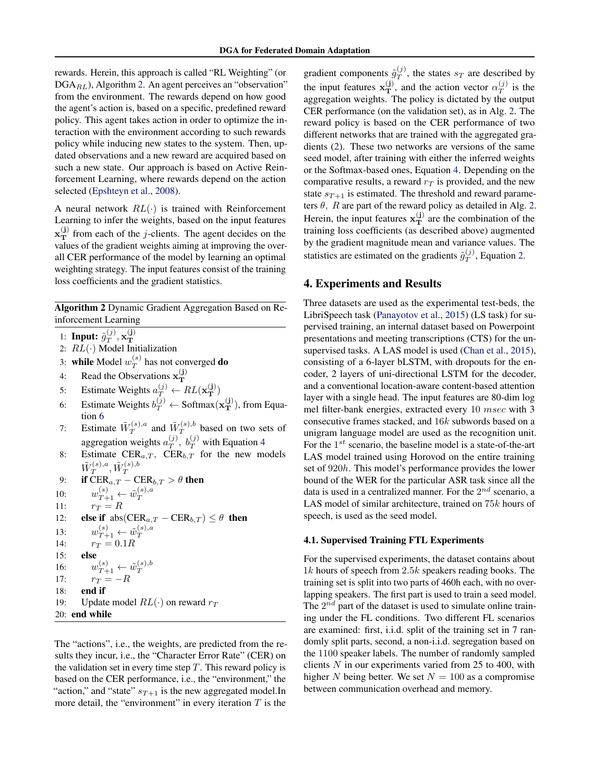rewards. Herein, this approach is called "RL Weighting" (or DGA<sub>RL</sub>), Algorithm 2. An agent perceives an "observation" from the environment. The rewards depend on how good the agent's action is, based on a specific, predefined reward policy. This agent takes action in order to optimize the interaction with the environment according to such rewards policy while inducing new states to the system. Then, updated observations and a new reward are acquired based on such a new state. Our approach is based on Active Reinforcement Learning, where rewards depend on the action selected [\(Epshteyn et al.,](#page-6-0) [2008\)](#page-6-0).

A neural network  $RL(\cdot)$  is trained with Reinforcement Learning to infer the weights, based on the input features  $\mathbf{x}_{\mathbf{T}}^{(j)}$  from each of the *j*-clients. The agent decides on the values of the gradient weights aiming at improving the overall CER performance of the model by learning an optimal weighting strategy. The input features consist of the training loss coefficients and the gradient statistics.

Algorithm 2 Dynamic Gradient Aggregation Based on Re-

inforcement Learning 1: Input:  $\tilde{g}_{T}^{(j)}$  $_{T}^{(j)},\mathbf{x}_{\mathbf{T}}^{(\mathbf{j})}$ 1. **Input.**  $y_T$ ,  $x_T$ <br>2:  $RL(\cdot)$  Model Initialization 3: while Model  $w_T^{(s)}$  $T^{(s)}$  has not converged **do** 4: Read the Observations  $\mathbf{x}_{\mathbf{T}}^{(j)}$ T 5: Estimate Weights  $a_T^{(j)} \leftarrow RL(\mathbf{x_T^{(j)}})$ 6: Estimate Weights  $b_T^{(j)} \leftarrow \text{Softmax}(\mathbf{x_T^{(j)}})$ , from Equation [6](#page-2-0) 7: Estimate  $\tilde{W}_T^{(s),a}$  $\tilde{W}_T^{(s),a}$  and  $\tilde{W}_T^{(s),b}$  $T^{(s),b}$  based on two sets of aggregation weights  $a_T^{(j)}$  $T^{(j)}$ ,  $b_T^{(j)}$  with Equation [4](#page-1-0) 8: Estimate  $CER_{a,T}$ ,  $CER_{b,T}$  for the new models  $\tilde{W}_T^{(s),a}$  $\tilde{W}_T^{(s),a},\tilde{W}_T^{(s),b}$ 9: if  $\overline{\text{CER}}_{a,T}$  –  $\overline{\text{CER}}_{b,T} > \theta$  then 10:  $w_{T+1}^{(s)} \leftarrow \tilde{w}_T^{(s),a}$ 10.  $w_{T+1} \leftarrow w_T$ <br>
11:  $r_T = R$ 12: **else if**  $abs(CER_{a,T} - CER_{b,T}) \leq \theta$  then 13:  $w_{T+1}^{(s)} \leftarrow \tilde{w}_T^{(s),a}$ 13.  $w_{T+1} \leftarrow w_T$ <br>
14:  $r_T = 0.1R$ 15: else 16:  $w_{T+1}^{(s)} \leftarrow \tilde{w}_T^{(s),b}$ 10.  $w_{T+1} - w_T$ <br>
17:  $r_T = -R$ 18: end if 19: Update model  $RL(\cdot)$  on reward  $r_T$ 20: end while

The "actions", i.e., the weights, are predicted from the results they incur, i.e., the "Character Error Rate" (CER) on the validation set in every time step  $T$ . This reward policy is based on the CER performance, i.e., the "environment," the "action," and "state"  $s_{T+1}$  is the new aggregated model.In more detail, the "environment" in every iteration  $T$  is the

gradient components  $\tilde{g}_T^{(j)}$  $T<sup>(J)</sup>$ , the states  $s_T$  are described by the input features  $\mathbf{x}_{\mathbf{T}}^{(j)}$ , and the action vector  $\alpha_T^{(j)}$  $T^{(J)}$  is the aggregation weights. The policy is dictated by the output CER performance (on the validation set), as in Alg. 2. The reward policy is based on the CER performance of two different networks that are trained with the aggregated gradients [\(2\)](#page-1-0). These two networks are versions of the same seed model, after training with either the inferred weights or the Softmax-based ones, Equation [4.](#page-1-0) Depending on the comparative results, a reward  $r<sub>T</sub>$  is provided, and the new state  $s_{T+1}$  is estimated. The threshold and reward parameters  $\theta$ , R are part of the reward policy as detailed in Alg. 2. Herein, the input features  $\mathbf{x}_{\mathrm{T}}^{(j)}$  are the combination of the training loss coefficients (as described above) augmented by the gradient magnitude mean and variance values. The statistics are estimated on the gradients  $\tilde{g}_T^{(j)}$  $T^{\mathcal{Y}}$ , Equation [2.](#page-1-0)

## 4. Experiments and Results

Three datasets are used as the experimental test-beds, the LibriSpeech task [\(Panayotov et al.,](#page-6-0) [2015\)](#page-6-0) (LS task) for supervised training, an internal dataset based on Powerpoint presentations and meeting transcriptions (CTS) for the unsupervised tasks. A LAS model is used [\(Chan et al.,](#page-6-0) [2015\)](#page-6-0), consisting of a 6-layer bLSTM, with dropouts for the encoder, 2 layers of uni-directional LSTM for the decoder, and a conventional location-aware content-based attention layer with a single head. The input features are 80-dim log mel filter-bank energies, extracted every 10 msec with 3 consecutive frames stacked, and 16k subwords based on a unigram language model are used as the recognition unit. For the  $1^{st}$  scenario, the baseline model is a state-of-the-art LAS model trained using Horovod on the entire training set of 920h. This model's performance provides the lower bound of the WER for the particular ASR task since all the data is used in a centralized manner. For the  $2^{nd}$  scenario, a LAS model of similar architecture, trained on 75k hours of speech, is used as the seed model.

#### 4.1. Supervised Training FTL Experiments

For the supervised experiments, the dataset contains about  $1k$  hours of speech from  $2.5k$  speakers reading books. The training set is split into two parts of 460h each, with no overlapping speakers. The first part is used to train a seed model. The  $2^{nd}$  part of the dataset is used to simulate online training under the FL conditions. Two different FL scenarios are examined: first, i.i.d. split of the training set in 7 randomly split parts, second, a non-i.i.d. segregation based on the 1100 speaker labels. The number of randomly sampled clients  $N$  in our experiments varied from 25 to 400, with higher N being better. We set  $N = 100$  as a compromise between communication overhead and memory.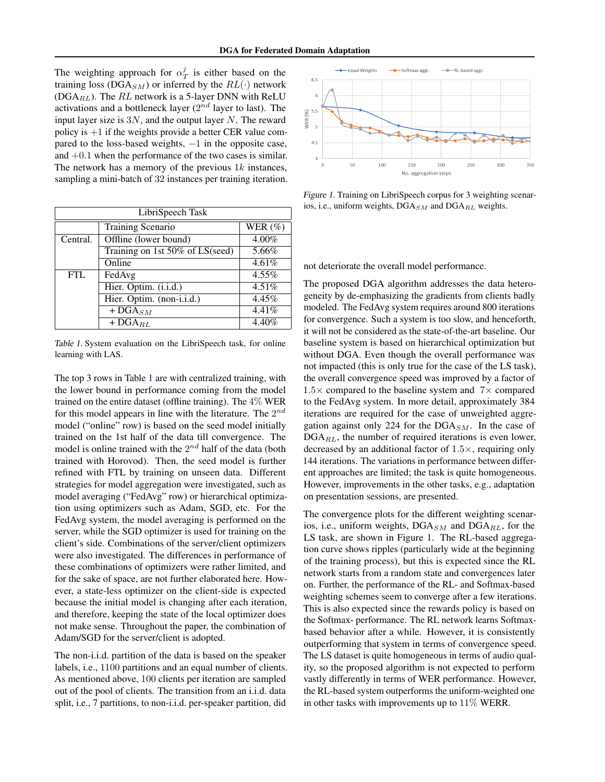The weighting approach for  $\alpha_T^j$  is either based on the training loss (DGA<sub>SM</sub>) or inferred by the  $RL(\cdot)$  network (DGA $_{RL}$ ). The  $RL$  network is a 5-layer DNN with ReLU activations and a bottleneck layer ( $2^{nd}$  layer to last). The input layer size is  $3N$ , and the output layer N. The reward policy is  $+1$  if the weights provide a better CER value compared to the loss-based weights,  $-1$  in the opposite case, and +0.1 when the performance of the two cases is similar. The network has a memory of the previous  $1k$  instances, sampling a mini-batch of 32 instances per training iteration.

| LibriSpeech Task |                                 |             |  |  |
|------------------|---------------------------------|-------------|--|--|
|                  | Training Scenario               | WER $(\% )$ |  |  |
| Central.         | Offline (lower bound)           | $4.00\%$    |  |  |
|                  | Training on 1st 50% of LS(seed) | 5.66%       |  |  |
|                  | Online                          | 4.61%       |  |  |
| <b>FTL</b>       | FedAvg                          | $4.55\%$    |  |  |
|                  | Hier. Optim. (i.i.d.)           | $4.51\%$    |  |  |
|                  | Hier. Optim. (non-i.i.d.)       | 4.45%       |  |  |
|                  | $+$ DGA <sub>SM</sub>           | 4.41%       |  |  |
|                  | $+$ DGA <sub>RL</sub>           | 4.40%       |  |  |

Table 1. System evaluation on the LibriSpeech task, for online learning with LAS.

The top 3 rows in Table 1 are with centralized training, with the lower bound in performance coming from the model trained on the entire dataset (offline training). The 4% WER for this model appears in line with the literature. The  $2^{nd}$ model ("online" row) is based on the seed model initially trained on the 1st half of the data till convergence. The model is online trained with the  $2^{nd}$  half of the data (both trained with Horovod). Then, the seed model is further refined with FTL by training on unseen data. Different strategies for model aggregation were investigated, such as model averaging ("FedAvg" row) or hierarchical optimization using optimizers such as Adam, SGD, etc. For the FedAvg system, the model averaging is performed on the server, while the SGD optimizer is used for training on the client's side. Combinations of the server/client optimizers were also investigated. The differences in performance of these combinations of optimizers were rather limited, and for the sake of space, are not further elaborated here. However, a state-less optimizer on the client-side is expected because the initial model is changing after each iteration, and therefore, keeping the state of the local optimizer does not make sense. Throughout the paper, the combination of Adam/SGD for the server/client is adopted.

The non-i.i.d. partition of the data is based on the speaker labels, i.e., 1100 partitions and an equal number of clients. As mentioned above, 100 clients per iteration are sampled out of the pool of clients. The transition from an i.i.d. data split, i.e., 7 partitions, to non-i.i.d. per-speaker partition, did



Figure 1. Training on LibriSpeech corpus for 3 weighting scenarios, i.e., uniform weights,  $DGA_{SM}$  and  $DGA_{RL}$  weights.

not deteriorate the overall model performance.

The proposed DGA algorithm addresses the data heterogeneity by de-emphasizing the gradients from clients badly modeled. The FedAvg system requires around 800 iterations for convergence. Such a system is too slow, and henceforth, it will not be considered as the state-of-the-art baseline. Our baseline system is based on hierarchical optimization but without DGA. Even though the overall performance was not impacted (this is only true for the case of the LS task), the overall convergence speed was improved by a factor of  $1.5\times$  compared to the baseline system and  $7\times$  compared to the FedAvg system. In more detail, approximately 384 iterations are required for the case of unweighted aggregation against only 224 for the  $DGA_{SM}$ . In the case of  $DGA_{RL}$ , the number of required iterations is even lower, decreased by an additional factor of 1.5×, requiring only 144 iterations. The variations in performance between different approaches are limited; the task is quite homogeneous. However, improvements in the other tasks, e.g., adaptation on presentation sessions, are presented.

The convergence plots for the different weighting scenarios, i.e., uniform weights,  $DGA_{SM}$  and  $DGA_{RL}$ , for the LS task, are shown in Figure 1. The RL-based aggregation curve shows ripples (particularly wide at the beginning of the training process), but this is expected since the RL network starts from a random state and convergences later on. Further, the performance of the RL- and Softmax-based weighting schemes seem to converge after a few iterations. This is also expected since the rewards policy is based on the Softmax- performance. The RL network learns Softmaxbased behavior after a while. However, it is consistently outperforming that system in terms of convergence speed. The LS dataset is quite homogeneous in terms of audio quality, so the proposed algorithm is not expected to perform vastly differently in terms of WER performance. However, the RL-based system outperforms the uniform-weighted one in other tasks with improvements up to 11% WERR.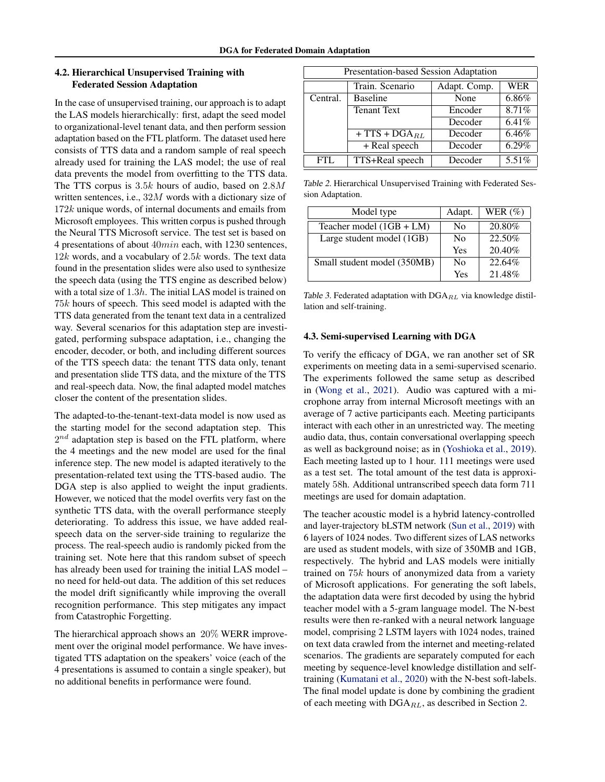## <span id="page-5-0"></span>4.2. Hierarchical Unsupervised Training with Federated Session Adaptation

In the case of unsupervised training, our approach is to adapt the LAS models hierarchically: first, adapt the seed model to organizational-level tenant data, and then perform session adaptation based on the FTL platform. The dataset used here consists of TTS data and a random sample of real speech already used for training the LAS model; the use of real data prevents the model from overfitting to the TTS data. The TTS corpus is  $3.5k$  hours of audio, based on  $2.8M$ written sentences, i.e., 32M words with a dictionary size of 172k unique words, of internal documents and emails from Microsoft employees. This written corpus is pushed through the Neural TTS Microsoft service. The test set is based on 4 presentations of about 40min each, with 1230 sentences,  $12k$  words, and a vocabulary of  $2.5k$  words. The text data found in the presentation slides were also used to synthesize the speech data (using the TTS engine as described below) with a total size of 1.3h. The initial LAS model is trained on 75k hours of speech. This seed model is adapted with the TTS data generated from the tenant text data in a centralized way. Several scenarios for this adaptation step are investigated, performing subspace adaptation, i.e., changing the encoder, decoder, or both, and including different sources of the TTS speech data: the tenant TTS data only, tenant and presentation slide TTS data, and the mixture of the TTS and real-speech data. Now, the final adapted model matches closer the content of the presentation slides.

The adapted-to-the-tenant-text-data model is now used as the starting model for the second adaptation step. This  $2^{nd}$  adaptation step is based on the FTL platform, where the 4 meetings and the new model are used for the final inference step. The new model is adapted iteratively to the presentation-related text using the TTS-based audio. The DGA step is also applied to weight the input gradients. However, we noticed that the model overfits very fast on the synthetic TTS data, with the overall performance steeply deteriorating. To address this issue, we have added realspeech data on the server-side training to regularize the process. The real-speech audio is randomly picked from the training set. Note here that this random subset of speech has already been used for training the initial LAS model – no need for held-out data. The addition of this set reduces the model drift significantly while improving the overall recognition performance. This step mitigates any impact from Catastrophic Forgetting.

The hierarchical approach shows an 20% WERR improvement over the original model performance. We have investigated TTS adaptation on the speakers' voice (each of the 4 presentations is assumed to contain a single speaker), but no additional benefits in performance were found.

| Presentation-based Session Adaptation |                    |              |            |  |
|---------------------------------------|--------------------|--------------|------------|--|
|                                       | Train. Scenario    | Adapt. Comp. | <b>WER</b> |  |
| Central.                              | <b>Baseline</b>    | None         | 6.86%      |  |
|                                       | <b>Tenant Text</b> | Encoder      | 8.71%      |  |
|                                       |                    | Decoder      | 6.41%      |  |
|                                       | $+ TTS + DGA_{BL}$ | Decoder      | 6.46%      |  |
|                                       | $+$ Real speech    | Decoder      | $6.29\%$   |  |
| <b>FTL</b>                            | TTS+Real speech    | Decoder      | 5.51%      |  |

Table 2. Hierarchical Unsupervised Training with Federated Session Adaptation.

| Model type                  | Adapt.         | WER $(\%)$ |
|-----------------------------|----------------|------------|
| Teacher model $(1GB + LM)$  | N <sub>0</sub> | 20.80%     |
| Large student model (1GB)   | No             | 22.50%     |
|                             | Yes            | 20.40%     |
| Small student model (350MB) | N <sub>0</sub> | 22.64%     |
|                             | Yes            | 21.48%     |

Table 3. Federated adaptation with  $DGA_{RL}$  via knowledge distillation and self-training.

#### 4.3. Semi-supervised Learning with DGA

To verify the efficacy of DGA, we ran another set of SR experiments on meeting data in a semi-supervised scenario. The experiments followed the same setup as described in [\(Wong et al.,](#page-7-0) [2021\)](#page-7-0). Audio was captured with a microphone array from internal Microsoft meetings with an average of 7 active participants each. Meeting participants interact with each other in an unrestricted way. The meeting audio data, thus, contain conversational overlapping speech as well as background noise; as in [\(Yoshioka et al.,](#page-7-0) [2019\)](#page-7-0). Each meeting lasted up to 1 hour. 111 meetings were used as a test set. The total amount of the test data is approximately 58h. Additional untranscribed speech data form 711 meetings are used for domain adaptation.

The teacher acoustic model is a hybrid latency-controlled and layer-trajectory bLSTM network [\(Sun et al.,](#page-7-0) [2019\)](#page-7-0) with 6 layers of 1024 nodes. Two different sizes of LAS networks are used as student models, with size of 350MB and 1GB, respectively. The hybrid and LAS models were initially trained on 75k hours of anonymized data from a variety of Microsoft applications. For generating the soft labels, the adaptation data were first decoded by using the hybrid teacher model with a 5-gram language model. The N-best results were then re-ranked with a neural network language model, comprising 2 LSTM layers with 1024 nodes, trained on text data crawled from the internet and meeting-related scenarios. The gradients are separately computed for each meeting by sequence-level knowledge distillation and selftraining [\(Kumatani et al.,](#page-6-0) [2020\)](#page-6-0) with the N-best soft-labels. The final model update is done by combining the gradient of each meeting with  $DGA_{RL}$ , as described in Section [2.](#page-1-0)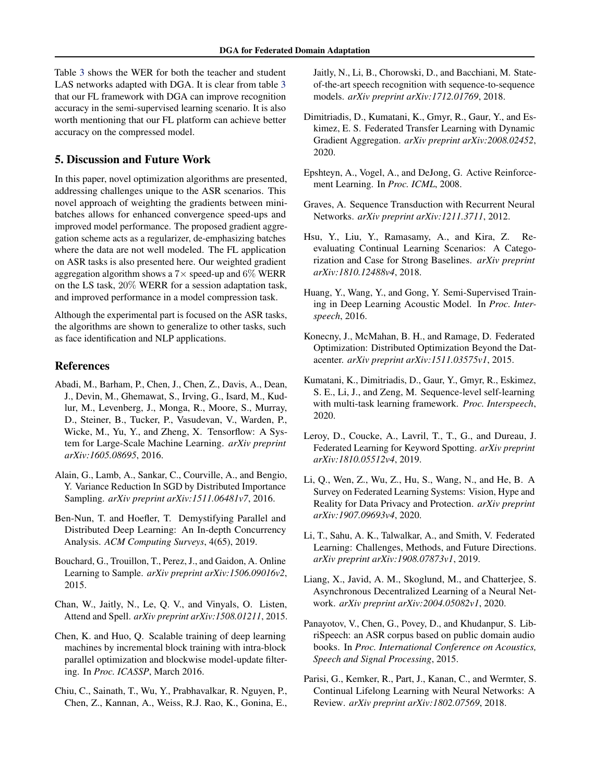<span id="page-6-0"></span>Table [3](#page-5-0) shows the WER for both the teacher and student LAS networks adapted with DGA. It is clear from table [3](#page-5-0) that our FL framework with DGA can improve recognition accuracy in the semi-supervised learning scenario. It is also worth mentioning that our FL platform can achieve better accuracy on the compressed model.

## 5. Discussion and Future Work

In this paper, novel optimization algorithms are presented, addressing challenges unique to the ASR scenarios. This novel approach of weighting the gradients between minibatches allows for enhanced convergence speed-ups and improved model performance. The proposed gradient aggregation scheme acts as a regularizer, de-emphasizing batches where the data are not well modeled. The FL application on ASR tasks is also presented here. Our weighted gradient aggregation algorithm shows a  $7\times$  speed-up and 6% WERR on the LS task, 20% WERR for a session adaptation task, and improved performance in a model compression task.

Although the experimental part is focused on the ASR tasks, the algorithms are shown to generalize to other tasks, such as face identification and NLP applications.

## References

- Abadi, M., Barham, P., Chen, J., Chen, Z., Davis, A., Dean, J., Devin, M., Ghemawat, S., Irving, G., Isard, M., Kudlur, M., Levenberg, J., Monga, R., Moore, S., Murray, D., Steiner, B., Tucker, P., Vasudevan, V., Warden, P., Wicke, M., Yu, Y., and Zheng, X. Tensorflow: A System for Large-Scale Machine Learning. *arXiv preprint arXiv:1605.08695*, 2016.
- Alain, G., Lamb, A., Sankar, C., Courville, A., and Bengio, Y. Variance Reduction In SGD by Distributed Importance Sampling. *arXiv preprint arXiv:1511.06481v7*, 2016.
- Ben-Nun, T. and Hoefler, T. Demystifying Parallel and Distributed Deep Learning: An In-depth Concurrency Analysis. *ACM Computing Surveys*, 4(65), 2019.
- Bouchard, G., Trouillon, T., Perez, J., and Gaidon, A. Online Learning to Sample. *arXiv preprint arXiv:1506.09016v2*, 2015.
- Chan, W., Jaitly, N., Le, Q. V., and Vinyals, O. Listen, Attend and Spell. *arXiv preprint arXiv:1508.01211*, 2015.
- Chen, K. and Huo, Q. Scalable training of deep learning machines by incremental block training with intra-block parallel optimization and blockwise model-update filtering. In *Proc. ICASSP*, March 2016.
- Chiu, C., Sainath, T., Wu, Y., Prabhavalkar, R. Nguyen, P., Chen, Z., Kannan, A., Weiss, R.J. Rao, K., Gonina, E.,

Jaitly, N., Li, B., Chorowski, D., and Bacchiani, M. Stateof-the-art speech recognition with sequence-to-sequence models. *arXiv preprint arXiv:1712.01769*, 2018.

- Dimitriadis, D., Kumatani, K., Gmyr, R., Gaur, Y., and Eskimez, E. S. Federated Transfer Learning with Dynamic Gradient Aggregation. *arXiv preprint arXiv:2008.02452*, 2020.
- Epshteyn, A., Vogel, A., and DeJong, G. Active Reinforcement Learning. In *Proc. ICML*, 2008.
- Graves, A. Sequence Transduction with Recurrent Neural Networks. *arXiv preprint arXiv:1211.3711*, 2012.
- Hsu, Y., Liu, Y., Ramasamy, A., and Kira, Z. Reevaluating Continual Learning Scenarios: A Categorization and Case for Strong Baselines. *arXiv preprint arXiv:1810.12488v4*, 2018.
- Huang, Y., Wang, Y., and Gong, Y. Semi-Supervised Training in Deep Learning Acoustic Model. In *Proc. Interspeech*, 2016.
- Konecny, J., McMahan, B. H., and Ramage, D. Federated Optimization: Distributed Optimization Beyond the Datacenter. *arXiv preprint arXiv:1511.03575v1*, 2015.
- Kumatani, K., Dimitriadis, D., Gaur, Y., Gmyr, R., Eskimez, S. E., Li, J., and Zeng, M. Sequence-level self-learning with multi-task learning framework. *Proc. Interspeech*, 2020.
- Leroy, D., Coucke, A., Lavril, T., T., G., and Dureau, J. Federated Learning for Keyword Spotting. *arXiv preprint arXiv:1810.05512v4*, 2019.
- Li, Q., Wen, Z., Wu, Z., Hu, S., Wang, N., and He, B. A Survey on Federated Learning Systems: Vision, Hype and Reality for Data Privacy and Protection. *arXiv preprint arXiv:1907.09693v4*, 2020.
- Li, T., Sahu, A. K., Talwalkar, A., and Smith, V. Federated Learning: Challenges, Methods, and Future Directions. *arXiv preprint arXiv:1908.07873v1*, 2019.
- Liang, X., Javid, A. M., Skoglund, M., and Chatterjee, S. Asynchronous Decentralized Learning of a Neural Network. *arXiv preprint arXiv:2004.05082v1*, 2020.
- Panayotov, V., Chen, G., Povey, D., and Khudanpur, S. LibriSpeech: an ASR corpus based on public domain audio books. In *Proc. International Conference on Acoustics, Speech and Signal Processing*, 2015.
- Parisi, G., Kemker, R., Part, J., Kanan, C., and Wermter, S. Continual Lifelong Learning with Neural Networks: A Review. *arXiv preprint arXiv:1802.07569*, 2018.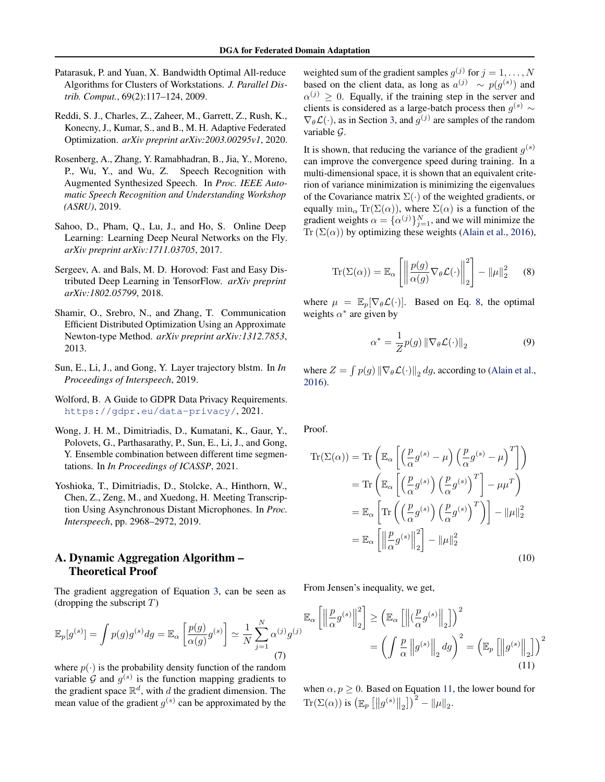- <span id="page-7-0"></span>Patarasuk, P. and Yuan, X. Bandwidth Optimal All-reduce Algorithms for Clusters of Workstations. *J. Parallel Distrib. Comput.*, 69(2):117–124, 2009.
- Reddi, S. J., Charles, Z., Zaheer, M., Garrett, Z., Rush, K., Konecny, J., Kumar, S., and B., M. H. Adaptive Federated Optimization. *arXiv preprint arXiv:2003.00295v1*, 2020.
- Rosenberg, A., Zhang, Y. Ramabhadran, B., Jia, Y., Moreno, P., Wu, Y., and Wu, Z. Speech Recognition with Augmented Synthesized Speech. In *Proc. IEEE Automatic Speech Recognition and Understanding Workshop (ASRU)*, 2019.
- Sahoo, D., Pham, Q., Lu, J., and Ho, S. Online Deep Learning: Learning Deep Neural Networks on the Fly. *arXiv preprint arXiv:1711.03705*, 2017.
- Sergeev, A. and Bals, M. D. Horovod: Fast and Easy Distributed Deep Learning in TensorFlow. *arXiv preprint arXiv:1802.05799*, 2018.
- Shamir, O., Srebro, N., and Zhang, T. Communication Efficient Distributed Optimization Using an Approximate Newton-type Method. *arXiv preprint arXiv:1312.7853*, 2013.
- Sun, E., Li, J., and Gong, Y. Layer trajectory blstm. In *In Proceedings of Interspeech*, 2019.
- Wolford, B. A Guide to GDPR Data Privacy Requirements. <https://gdpr.eu/data-privacy/>, 2021.
- Wong, J. H. M., Dimitriadis, D., Kumatani, K., Gaur, Y., Polovets, G., Parthasarathy, P., Sun, E., Li, J., and Gong, Y. Ensemble combination between different time segmentations. In *In Proceedings of ICASSP*, 2021.
- Yoshioka, T., Dimitriadis, D., Stolcke, A., Hinthorn, W., Chen, Z., Zeng, M., and Xuedong, H. Meeting Transcription Using Asynchronous Distant Microphones. In *Proc. Interspeech*, pp. 2968–2972, 2019.

# A. Dynamic Aggregation Algorithm – Theoretical Proof

The gradient aggregation of Equation [3,](#page-1-0) can be seen as (dropping the subscript  $T$ )

$$
\mathbb{E}_p[g^{(s)}] = \int p(g)g^{(s)}dg = \mathbb{E}_\alpha\left[\frac{p(g)}{\alpha(g)}g^{(s)}\right] \simeq \frac{1}{N} \sum_{j=1}^N \alpha^{(j)}g^{(j)}\tag{7}
$$

where  $p(\cdot)$  is the probability density function of the random variable G and  $g^{(s)}$  is the function mapping gradients to the gradient space  $\mathbb{R}^d$ , with d the gradient dimension. The mean value of the gradient  $g^{(s)}$  can be approximated by the

weighted sum of the gradient samples  $g^{(j)}$  for  $j = 1, ..., N$ based on the client data, as long as  $a^{(j)} \sim p(g^{(s)})$  and  $\alpha^{(j)} \geq 0$ . Equally, if the training step in the server and clients is considered as a large-batch process then  $g^{(s)} \sim$  $\nabla_{\theta} \mathcal{L}(\cdot)$ , as in Section [3,](#page-2-0) and  $g^{(j)}$  are samples of the random variable G.

It is shown, that reducing the variance of the gradient  $g^{(s)}$ can improve the convergence speed during training. In a multi-dimensional space, it is shown that an equivalent criterion of variance minimization is minimizing the eigenvalues of the Covariance matrix  $\Sigma(\cdot)$  of the weighted gradients, or equally  $\min_{\alpha} \text{Tr}(\Sigma(\alpha))$ , where  $\Sigma(\alpha)$  is a function of the gradient weights  $\alpha = {\alpha^{(j)}}_{j=1}^N$ , and we will minimize the Tr  $(\Sigma(\alpha))$  by optimizing these weights [\(Alain et al.,](#page-6-0) [2016\)](#page-6-0),

$$
\operatorname{Tr}(\Sigma(\alpha)) = \mathbb{E}_{\alpha} \left[ \left\| \frac{p(g)}{\alpha(g)} \nabla_{\theta} \mathcal{L}(\cdot) \right\|_{2}^{2} \right] - \left\| \mu \right\|_{2}^{2} \quad (8)
$$

where  $\mu = \mathbb{E}_p[\nabla_{\theta} \mathcal{L}(\cdot)].$  Based on Eq. 8, the optimal weights  $\alpha^*$  are given by

$$
\alpha^* = \frac{1}{Z} p(g) \| \nabla_{\theta} \mathcal{L}(\cdot) \|_2 \tag{9}
$$

where  $Z = \int p(g) \left\| \nabla_{\theta} \mathcal{L}(\cdot) \right\|_2 dg$ , according to [\(Alain et al.,](#page-6-0) [2016\)](#page-6-0).

Proof.

$$
\operatorname{Tr}(\Sigma(\alpha)) = \operatorname{Tr}\left(\mathbb{E}_{\alpha}\left[\left(\frac{p}{\alpha}g^{(s)} - \mu\right)\left(\frac{p}{\alpha}g^{(s)} - \mu\right)^{T}\right]\right)
$$

$$
= \operatorname{Tr}\left(\mathbb{E}_{\alpha}\left[\left(\frac{p}{\alpha}g^{(s)}\right)\left(\frac{p}{\alpha}g^{(s)}\right)^{T}\right] - \mu\mu^{T}\right)
$$

$$
= \mathbb{E}_{\alpha}\left[\operatorname{Tr}\left(\left(\frac{p}{\alpha}g^{(s)}\right)\left(\frac{p}{\alpha}g^{(s)}\right)^{T}\right)\right] - \|\mu\|_{2}^{2}
$$

$$
= \mathbb{E}_{\alpha}\left[\left\|\frac{p}{\alpha}g^{(s)}\right\|_{2}^{2}\right] - \|\mu\|_{2}^{2}
$$
(10)

From Jensen's inequality, we get,

$$
\mathbb{E}_{\alpha}\left[\left\|\frac{p}{\alpha}g^{(s)}\right\|_{2}^{2}\right] \geq \left(\mathbb{E}_{\alpha}\left[\left\|\left(\frac{p}{\alpha}g^{(s)}\right\|_{2}\right]\right)^{2}\right] = \left(\int \frac{p}{\alpha} \left\|g^{(s)}\right\|_{2} dg\right)^{2} = \left(\mathbb{E}_{p}\left[\left\|g^{(s)}\right\|_{2}\right]\right)^{2}
$$
\n(11)

when  $\alpha, p \geq 0$ . Based on Equation 11, the lower bound for Tr( $\Sigma(\alpha)$ ) is  $\left(\mathbb{E}_p\left[\left\|g^{(s)}\right\|_2\right]\right)^2 - \|\mu\|_2$ .